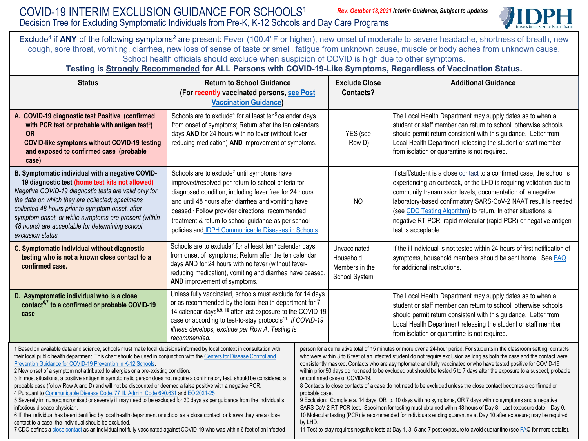

Exclude<sup>4</sup> if ANY of the following symptoms<sup>2</sup> are present: Fever (100.4°F or higher), new onset of moderate to severe headache, shortness of breath, new cough, sore throat, vomiting, diarrhea, new loss of sense of taste or smell, fatigue from unknown cause, muscle or body aches from unknown cause. School health officials should exclude when suspicion of COVID is high due to other symptoms.

## **Testing is Strongly Recommended for ALL Persons with COVID-19-Like Symptoms, Regardless of Vaccination Status.**

| <b>Status</b>                                                                                                                                                                                                                                                                                                                                                                                                                                                                                                                                                                                                                                                                                                                                                                                                                                                                                                                                                                                                                                                                                                                                                                                                                 | <b>Return to School Guidance</b><br>(For recently vaccinated persons, see Post<br><b>Vaccination Guidance)</b>                                                                                                                                                                                                                                                                                   |                                                                                                                                                                                                                                                                                                                                                                                                                                                                                                                                                                                                                                                                                                                                                                                                                                                                                                                                                                                                                                                                                                                                                                                         | <b>Exclude Close</b><br>Contacts?                            | <b>Additional Guidance</b>                                                                                                                                                                                                                                                                                                                                                                                                                |
|-------------------------------------------------------------------------------------------------------------------------------------------------------------------------------------------------------------------------------------------------------------------------------------------------------------------------------------------------------------------------------------------------------------------------------------------------------------------------------------------------------------------------------------------------------------------------------------------------------------------------------------------------------------------------------------------------------------------------------------------------------------------------------------------------------------------------------------------------------------------------------------------------------------------------------------------------------------------------------------------------------------------------------------------------------------------------------------------------------------------------------------------------------------------------------------------------------------------------------|--------------------------------------------------------------------------------------------------------------------------------------------------------------------------------------------------------------------------------------------------------------------------------------------------------------------------------------------------------------------------------------------------|-----------------------------------------------------------------------------------------------------------------------------------------------------------------------------------------------------------------------------------------------------------------------------------------------------------------------------------------------------------------------------------------------------------------------------------------------------------------------------------------------------------------------------------------------------------------------------------------------------------------------------------------------------------------------------------------------------------------------------------------------------------------------------------------------------------------------------------------------------------------------------------------------------------------------------------------------------------------------------------------------------------------------------------------------------------------------------------------------------------------------------------------------------------------------------------------|--------------------------------------------------------------|-------------------------------------------------------------------------------------------------------------------------------------------------------------------------------------------------------------------------------------------------------------------------------------------------------------------------------------------------------------------------------------------------------------------------------------------|
| A. COVID-19 diagnostic test Positive (confirmed<br>with PCR test or probable with antigen test <sup>3</sup> )<br><b>OR</b><br><b>COVID-like symptoms without COVID-19 testing</b><br>and exposed to confirmed case (probable<br>case)                                                                                                                                                                                                                                                                                                                                                                                                                                                                                                                                                                                                                                                                                                                                                                                                                                                                                                                                                                                         | Schools are to exclude <sup>4</sup> for at least ten <sup>5</sup> calendar days<br>from onset of symptoms; Return after the ten calendars<br>days AND for 24 hours with no fever (without fever-<br>reducing medication) AND improvement of symptoms.                                                                                                                                            |                                                                                                                                                                                                                                                                                                                                                                                                                                                                                                                                                                                                                                                                                                                                                                                                                                                                                                                                                                                                                                                                                                                                                                                         | YES (see<br>Row D)                                           | The Local Health Department may supply dates as to when a<br>student or staff member can return to school, otherwise schools<br>should permit return consistent with this guidance. Letter from<br>Local Health Department releasing the student or staff member<br>from isolation or quarantine is not required.                                                                                                                         |
| B. Symptomatic individual with a negative COVID-<br>19 diagnostic test (home test kits not allowed)<br>Negative COVID-19 diagnostic tests are valid only for<br>the date on which they are collected; specimens<br>collected 48 hours prior to symptom onset, after<br>symptom onset, or while symptoms are present (within<br>48 hours) are acceptable for determining school<br>exclusion status.                                                                                                                                                                                                                                                                                                                                                                                                                                                                                                                                                                                                                                                                                                                                                                                                                           | Schools are to exclude <sup>2</sup> until symptoms have<br>improved/resolved per return-to-school criteria for<br>diagnosed condition, including fever free for 24 hours<br>and until 48 hours after diarrhea and vomiting have<br>ceased. Follow provider directions, recommended<br>treatment & return to school guidance as per school<br>policies and IDPH Communicable Diseases in Schools. |                                                                                                                                                                                                                                                                                                                                                                                                                                                                                                                                                                                                                                                                                                                                                                                                                                                                                                                                                                                                                                                                                                                                                                                         | N <sub>O</sub>                                               | If staff/student is a close contact to a confirmed case, the school is<br>experiencing an outbreak, or the LHD is requiring validation due to<br>community transmission levels, documentation of a negative<br>laboratory-based confirmatory SARS-CoV-2 NAAT result is needed<br>(see CDC Testing Algorithm) to return. In other situations, a<br>negative RT-PCR, rapid molecular (rapid PCR) or negative antigen<br>test is acceptable. |
| C. Symptomatic individual without diagnostic<br>testing who is not a known close contact to a<br>confirmed case.                                                                                                                                                                                                                                                                                                                                                                                                                                                                                                                                                                                                                                                                                                                                                                                                                                                                                                                                                                                                                                                                                                              | Schools are to exclude <sup>2</sup> for at least ten <sup>5</sup> calendar days<br>from onset of symptoms; Return after the ten calendar<br>days AND for 24 hours with no fever (without fever-<br>reducing medication), vomiting and diarrhea have ceased<br>AND improvement of symptoms.                                                                                                       |                                                                                                                                                                                                                                                                                                                                                                                                                                                                                                                                                                                                                                                                                                                                                                                                                                                                                                                                                                                                                                                                                                                                                                                         | Unvaccinated<br>Household<br>Members in the<br>School System | If the ill individual is not tested within 24 hours of first notification of<br>symptoms, household members should be sent home. See <b>FAQ</b><br>for additional instructions.                                                                                                                                                                                                                                                           |
| D. Asymptomatic individual who is a close<br>contact <sup>6,7</sup> to a confirmed or probable COVID-19<br>case                                                                                                                                                                                                                                                                                                                                                                                                                                                                                                                                                                                                                                                                                                                                                                                                                                                                                                                                                                                                                                                                                                               | Unless fully vaccinated, schools must exclude for 14 days<br>or as recommended by the local health department for 7-<br>14 calendar days <sup>8,9, 10</sup> after last exposure to the COVID-19<br>case or according to test-to-stay protocols <sup>11</sup> . If COVID-19<br>illness develops, exclude per Row A. Testing is<br>recommended.                                                    |                                                                                                                                                                                                                                                                                                                                                                                                                                                                                                                                                                                                                                                                                                                                                                                                                                                                                                                                                                                                                                                                                                                                                                                         |                                                              | The Local Health Department may supply dates as to when a<br>student or staff member can return to school, otherwise schools<br>should permit return consistent with this guidance. Letter from<br>Local Health Department releasing the student or staff member<br>from isolation or quarantine is not required.                                                                                                                         |
| 1 Based on available data and science, schools must make local decisions informed by local context in consultation with<br>their local public health department. This chart should be used in conjunction with the Centers for Disease Control and<br>Prevention Guidance for COVID-19 Prevention in K-12 Schools.<br>2 New onset of a symptom not attributed to allergies or a pre-existing condition.<br>3 In most situations, a positive antigen in symptomatic person does not require a confirmatory test, should be considered a<br>probable case (follow Row A and D) and will not be discounted or deemed a false positive with a negative PCR.<br>4 Pursuant to Communicable Disease Code, 77 III. Admin. Code 690.631 and EO 2021-25<br>5 Severely immunocompromised or severely ill may need to be excluded for 20 days as per guidance from the individual's<br>infectious disease physician.<br>6 If the individual has been identified by local health department or school as a close contact, or knows they are a close<br>contact to a case, the individual should be excluded.<br>7 CDC defines a close contact as an individual not fully vaccinated against COVID-19 who was within 6 feet of an infected |                                                                                                                                                                                                                                                                                                                                                                                                  | person for a cumulative total of 15 minutes or more over a 24-hour period. For students in the classroom setting, contacts<br>who were within 3 to 6 feet of an infected student do not require exclusion as long as both the case and the contact were<br>consistently masked. Contacts who are asymptomatic and fully vaccinated or who have tested positive for COVID-19<br>within prior 90 days do not need to be excluded but should be tested 5 to 7 days after the exposure to a suspect, probable<br>or confirmed case of COVID-19.<br>8 Contacts to close contacts of a case do not need to be excluded unless the close contact becomes a confirmed or<br>probable case.<br>9 Exclusion: Complete a. 14 days, OR b. 10 days with no symptoms, OR 7 days with no symptoms and a negative<br>SARS-CoV-2 RT-PCR test. Specimen for testing must obtained within 48 hours of Day 8. Last exposure date = Day 0.<br>10 Molecular testing (PCR) is recommended for individuals ending quarantine at Day 10 after exposure; may be required<br>by LHD.<br>11 Test-to-stay requires negative tests at Day 1, 3, 5 and 7 post exposure to avoid quarantine (see FAQ for more details). |                                                              |                                                                                                                                                                                                                                                                                                                                                                                                                                           |